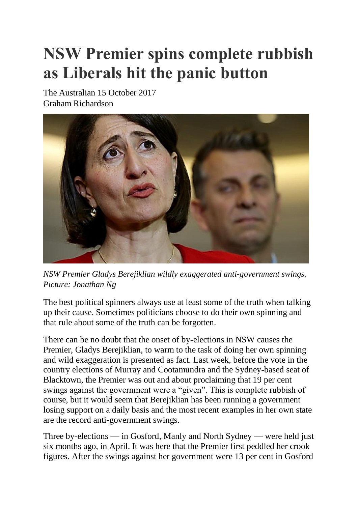## **NSW Premier spins complete rubbish as Liberals hit the panic button**

The Australian 15 October 2017 Graham Richardson



*NSW Premier Gladys Berejiklian wildly exaggerated anti-government swings. Picture: Jonathan Ng*

The best political spinners always use at least some of the truth when talking up their cause. Sometimes politicians choose to do their own spinning and that rule about some of the truth can be forgotten.

There can be no doubt that the onset of by-elections in NSW causes the Premier, Gladys Berejiklian, to warm to the task of doing her own spinning and wild exaggeration is presented as fact. Last week, before the vote in the country elections of Murray and Cootamundra and the Sydney-based seat of Blacktown, the Premier was out and about proclaiming that 19 per cent swings against the government were a "given". This is complete rubbish of course, but it would seem that Berejiklian has been running a government losing support on a daily basis and the most recent examples in her own state are the record anti-government swings.

Three by-elections — in Gosford, Manly and North Sydney — were held just six months ago, in April. It was here that the Premier first peddled her crook figures. After the swings against her government were 13 per cent in Gosford